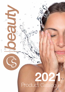## 2 Product Catalogue

G)

 $5650$ 

S

Ö.

Q

Ċ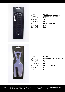

| Product:<br>Case Pack:<br>Inner Pack:<br>Outer Pack<br>ltem UPC:<br>Inner UPC:<br>Case UPC: | Code: |
|---------------------------------------------------------------------------------------------|-------|
|                                                                                             |       |
|                                                                                             |       |
|                                                                                             |       |
|                                                                                             |       |
|                                                                                             |       |
|                                                                                             |       |
|                                                                                             |       |

**S2103 ACCESSORY 6" GENTS 240**  $12$  $\cdot$  20 Item UPC: 5014749830168  $N/A$ N/A



Code: S2105 Case Pack: 240 Inner Pack: 12 Outer Pack: 20 Inner UPC: **N/A** Case UPC: **N/A** 

Product: **ACCESSORY AFRO COMB** Item UPC: 5014749830236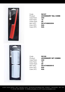

| Code:       |
|-------------|
| Product:    |
| Case Pack:  |
| Inner Pack: |
| Outer Pack: |
| ltem UPC:   |
| Inner UPC:  |
| Case UPC:   |

**S2107 ACCESSORY TAIL COMB 240**  $12$ **20** Item UPC: 5014749830304  $N/A$  $N/A$ 

| <b>Queed</b> |  |
|--------------|--|
|              |  |
|              |  |
|              |  |
|              |  |
|              |  |
|              |  |
|              |  |
|              |  |
|              |  |
|              |  |
|              |  |
|              |  |
|              |  |

Code: S2109 Case Pack: 240 Inner Pack: 12 Outer Pack: 20 Inner UPC: **N/A** Case UPC: **N/A** 

Product: **ACCESSORY NIT COMBS** Item UPC: 5014749830915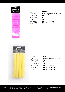

Code: **S6563** Case Pack: 60 Inner Pack: 6 Outer Pack: **10x6** 

Product: **Xtra Large Velcro Rollers** Item UPC: 5014749165635 Inner UPC: 5014749065638



Code: S2411 Case Pack: 72 Inner Pack: 6 Outer Pack: 12

Product: **BENDY ROLLERS 12'S** Item UPC: 5014749124113 Inner UPC: 5014749024116 Case UPC: 5014749024116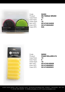

Code: S2450 Case Pack: 72 Inner Pack: 6 Outer Pack: 12 Case UPC: **N/A** 

Product: **DE-TANGLE BRUSH** Item UPC: 5014749124502 Inner UPC: 5014749024581



Code: S6562 Case Pack: **72** Inner Pack: 6 Outer Pack: **12** 

Product: **FOAM ROLLERS 6'S** Item UPC: 5014749165628 Inner UPC: 5014749065621 Case UPC: 5014749065621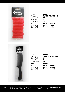

| S  |
|----|
| 7  |
| 6  |
| 1. |
| 5  |
| 5  |
| 5  |
|    |

S6559 **SMALL VELCRO 7'S 72**  $12$ Item UPC: 5014749165598 Inner UPC: 5014749065591 Case UPC: 5014749065591



Code: S8006 Product: **WIDE TOOTH COMB** Case Pack: 240 Inner Pack: 6 Outer Pack: 40 Style: **S8006** Item UPC: 5014749180065 Inner UPC: 5014749080068 Case UPC: 5014749080068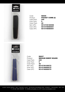



| Code:              | s |
|--------------------|---|
| Product:           | Р |
| Case Pack:         | 2 |
| Inner Pack:        | 6 |
| <b>Outer Pack:</b> | 4 |
| Item UPC:          | 5 |
| Inner UPC:         | 5 |
| Case UPC:          | 5 |
|                    |   |

S8005 POCKET COMB (2) **240** Outer Pack: 40 Item UPC: 5014749180058 Inner UPC: 5014749080051 Case UPC: 5014749080051





Product: **MEDIUM EMERY BOARD** Item UPC: 5014749180072 Inner UPC: 5014749080075 Case UPC: 5014749080075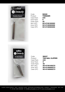

| т |
|---|
| 2 |
| 6 |
| 4 |
| 5 |
| 5 |
| 5 |
|   |

S8026 **TWEEZER 240** 40 Item UPC: 5014749180263 Inner UPC: 5014749080266 Case UPC: 5014749080266



Code: S8027 Case Pack: 240 Inner Pack: 6 Outer Pack: 40

Product: **TOE NAIL CLIPPER** Item UPC: 5014749180270 Inner UPC: 5014749080273 Case UPC: 5014749080273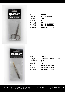

| Code:              | S |
|--------------------|---|
| Product:           | N |
| Case Pack:         | 2 |
| Inner Pack:        | 6 |
| <b>Outer Pack:</b> | 4 |
| ltem UPC:          | 5 |
| Inner UPC:         | 5 |
| Case UPC:          | 5 |

S8028 **NAIL SCISSOR 240** Outer Pack: 40 Item UPC: 5014749180287 Inner UPC: 5014749080280 Case UPC: 5014749080280



Code: S8025 Case Pack: 240 Inner Pack: 6 Outer Pack: 40

Product: **TWEEZER GOLD TIPPED** Item UPC: 5014749180256 Inner UPC: 5014749080259 Case UPC: 5014749080259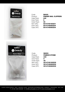

Code: S8020 Case Pack: 240 Inner Pack: 6 Outer Pack: 40

Product: **FINGER NAIL CLIPPERS** Item UPC: 5014749180201 Inner UPC: 5014749080204 Case UPC: 5014749080204



Code: S8053 Case Pack: 240 Inner Pack: 6 Outer Pack: 40

Product: **PUMICE STONE** Item UPC: 5014749180539 Inner UPC: 5014749080532 Case UPC: 5014749080532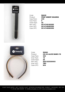

| р |
|---|
| 2 |
| 6 |
| 4 |
| 5 |
| 5 |
| 5 |
|   |

S8035 **PROF EMERY BOARDS 240** Outer Pack: 40 Item UPC: 5014749180355 Inner UPC: 5014749080358 Case UPC: 5014749080358



Case Pack: 300 Inner Pack: 12 Outer Pack: 25 Inner UPC: TBC Case UPC: **N/A** 

Code: S9360 Product: **CO-33 ALICE BAND 3'S** Item UPC: 5051323330003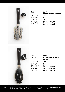

| Code:              |    |
|--------------------|----|
| Product:           | F  |
| Case Pack:         | 1. |
| Inner Pack:        | 6  |
| <b>Outer Pack:</b> | 2  |
| Item UPC:          | 5  |
| Inner UPC:         | 5  |
| Case UPC:          | 5  |
|                    |    |

Code: S8070 **ECONOMY VENT BRUSH** Case Pack: 144  $24$ Item UPC: 5014749180706 Inner UPC: 5014749980702 Case UPC: 5014749980702



Code: S8071 Product: **ECONOMY CUSHION BRUSH** Case Pack: 144 Inner Pack: 6 Outer Pack: 24 Item UPC: 5014749180713 Inner UPC: 5014749980719 Case UPC: 5014749980719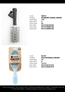

**S** beauty **ECO FRIENDLY Detangle Brush** Made from not

Ķ

| Code:              | <b>S8072</b> |
|--------------------|--------------|
| Product:           | <b>ECON</b>  |
|                    |              |
| Case Pack:         | 144          |
| Inner Pack:        | 6            |
| <b>Outer Pack:</b> | 24           |
| Item UPC:          | 50147        |
| Inner UPC:         | 50147        |
| Case UPC:          | 50147        |
|                    |              |

| Code:              | <b>S8072</b>                |
|--------------------|-----------------------------|
| Product:           | <b>ECONOMY RADIAL BRUSH</b> |
| Case Pack:         | 144                         |
| Inner Pack:        | 6                           |
| <b>Outer Pack:</b> | 24                          |
| Item UPC:          | 5014749180720               |
| Inner UPC:         | 5014749980726               |
| Case UPC:          | 5014749980726               |
|                    |                             |

Code: S2197 Case Pack: 72 Inner Pack: 6 Outer Pack: **12 X 6** 

Product: **ECO DETANGLE BRUSH** Item UPC: 5014749121976 Inner UPC: 5014749021979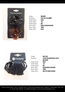

| Code:              | S9 |
|--------------------|----|
| Product:           | CC |
| Case Pack:         | 30 |
| Inner Pack:        | 12 |
| <b>Outer Pack:</b> | 25 |
| Item UPC:          | 50 |
| Inner UPC:         | TВ |
| Case UPC:          | N/ |
|                    |    |

S9380 CO-24 CLAMP 300  $12$ 5051323240005 TBC:  $N/A$ 



Case Pack: 600 Inner Pack: 12 Outer Pack: 50 Inner UPC: TBC

Code: **S2149** Product: **1040 ELASTICS 24'S**  BLACK Item UPC: 5032355104008 Case UPC: 5014749910402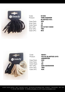

Code: S1000 Case Pack: 300 Inner Pack: 12 Outer Pack: 25 Inner UPC: TBC

Product: **THIN FASHION**  ELASTICS 40's Item UPC: 5014749110000 Case UPC: N/A



Case Pack: 600 Inner Pack: 12 Outer Pack: 50 Inner UPC: TBC Case UPC: **N/A** 

Code: S9401 Product: **CO-52 ELASTICS 24'S**  ASSORTED Item UPC: 5051323520008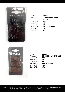The Accessory



Case Pack: 600 Inner Pack: 12 Outer Pack: 50 Inner UPC: TBC Case UPC: **N/A** 

Code: **S9363** Product: **CO-03 BLACK HAIR GRIPS** Item UPC: 5051323030002

Code: **S9364** Case Pack: 600 Inner Pack: 12 Outer Pack: 50 Inner UPC: TBC Case UPC: **N/A** 

Product: **CO-04 BROWN HAIRGRIP** Item UPC: 5051323040001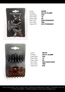

| Code:       |
|-------------|
| Product:    |
| Case Pack:  |
| Inner Pack: |
| Outer Pack: |
| ltem UPC:   |
| Inner UPC:  |
| Case UPC:   |

S9356 CO-26 CLAMP 300  $12$ **25** 5051323260003 TBC Case UPC: 5014749999261



Code: S9378 Case Pack: 300 Inner Pack: 12 Outer Pack: 50 Inner UPC: TBC Case UPC: **N/A** 

Product: **CO-21 CLAMP** Item UPC: 5051323210008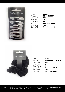

| Code:       |
|-------------|
| Product:    |
| Case Pack:  |
| Inner Pack: |
| Outer Pack  |
| ltem UPC:   |
| Inner UPC:  |
| Case UPC:   |
|             |

S9350 CO-01 SLEEPY 600  $12$  $\therefore$  50 5051323010004 TBC: Case UPC: 5014749999018



Code: S1004 Case Pack: 300 Inner Pack: 6 Outer Pack: 50 Inner UPC: TBC

Product: **DIAMANTE SCRUNCH** Item UPC: 5014749110048 Case UPC: 5014749010041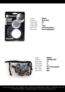

| Р |
|---|
| 6 |
| 6 |
| 1 |
| 5 |
|   |
|   |

S8091 Pedi-Ball 60 10x6 Item UPC: 5014749180911 Inner UPC: 5014749080914



| Code:              | <b>S8550</b>       |
|--------------------|--------------------|
| Product:           | <b>TINTING SET</b> |
| Case Pack:         | 72                 |
| Inner Pack:        | 6                  |
| <b>Outer Pack:</b> | 12                 |
| Item UPC:          | 5014749185503      |
| Inner UPC:         | N/A                |
| Case UPC:          | N/A                |
|                    |                    |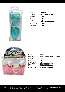

| Code:       |
|-------------|
| Product:    |
| Case Pack:  |
| Inner Pack: |
| Outer Pack: |
| ltem UPC:   |
| Inner UPC:  |
| Case UPC:   |

S2048 **GEL EYE MASK** 144  $12$  $12$ Item UPC: 5014749120481 TBC: TBC



Code: **S903** Case Pack: **144** Inner Pack: 12 Outer Pack: 12

Product: 6PC TRAVEL BOTTLE SET Item UPC: 5014749019037 Inner UPC: 5014749009038 Case UPC: 5014749009038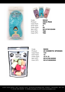



Code: **S2049** Case Pack: 300 Inner Pack: 6 Outer Pack: 50 Inner UPC: TBC Case UPC: TBC

Product: **AQUA PEAS** Item UPC: 5014749120498



Code: S8056 Case Pack: 144 Inner Pack: 12 Outer Pack: **12 X 12** 

Product: **25 COSMETIC SPONGES** Item UPC: 5014749180560 Inner UPC: 5014749080563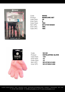

| Code:       |   |
|-------------|---|
| Product:    |   |
| Case Pack:  |   |
| Inner Pack: | 6 |
| Outer Pack: | т |
| Item UPC:   | 5 |
| Inner UPC:  | т |
| Case UPC:   |   |
|             |   |

S8082 **MANICURE SET** 48<br>6 TBC Item UPC: 5014749180829 TBC: TBC:



Code: **S4149** Product: **EXFOLIATING GLOVE** Case Pack: 144 Inner Pack: 12 Outer Pack: 12 Item UPC: 5014749141493 Inner UPC: 5014749041496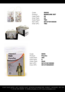

Code: S8083 Case Pack: 96 Inner Pack: 24 Outer Pack: TBC Inner UPC: TBC

Product: MANICURE SET Item UPC: 5014749180836





Code: **S908** Product: Poncho Case Pack: 300 Inner Pack: 6 Outer Pack: 50x6

Item UPC: 5014749109080 Inner UPC: 5014749029081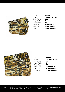

| Code:              |   |
|--------------------|---|
| Product:           |   |
| Case Pack:         | 2 |
| Inner Pack:        | 6 |
| <b>Outer Pack:</b> | 4 |
| Item UPC:          | 5 |
| Inner UPC:         | 5 |
| Case UPC:          | 5 |
|                    |   |

S8553 COSMETIC BAG **240** 40 Item UPC: 5014749185534 Inner UPC: 5014749085537 Case UPC: 5014749085537



| Code:              | <b>S8552</b>        |
|--------------------|---------------------|
| Product:           | <b>COSMETIC BAG</b> |
| Case Pack:         | 60                  |
| Inner Pack:        | 6                   |
| <b>Outer Pack:</b> | 10                  |
| Item UPC:          | 5014749185527       |
| Inner UPC:         | 5014749085520       |
| Case UPC:          | 5014749085520       |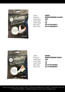

| Code:              |
|--------------------|
| Product:           |
| Case Pack:         |
| Inner Pack:        |
| <b>Outer Pack:</b> |
| ltem UPC:          |
| Inner UPC:         |
|                    |

S8057 **MOISTURISING GLOVE** 300  $12$ **25** Item UPC: 5014749180577 Inner UPC: 5014749080570



| Code:              | <b>S8058</b>             |
|--------------------|--------------------------|
| Product:           | <b>MOISTURISING SOCK</b> |
| Case Pack:         | 300                      |
| Inner Pack:        | 12                       |
| <b>Outer Pack:</b> | 25                       |
| Item UPC:          | 5014749180584            |
| Inner UPC:         | 5014749080587            |
|                    |                          |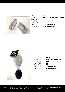

Code: **S8059** Case Pack: 144 Inner Pack: 12 Outer Pack: 12

Product: **DOUBLE SIDED NAIL BRUSH** Item UPC: 5014749180591 Inner UPC: 5014749080594



| <b>S8060</b>             |
|--------------------------|
| <b>4 IN 1 PEDI BRUSH</b> |
| 144                      |
| 12                       |
| 12                       |
| 5014749180607            |
| 5014749080600            |
|                          |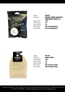

Code: S2067

Case Pack: 144 Inner Pack: 12 Outer Pack: 12

Product: **MICRO FIBRE MAKEUP**  REMOVER PADS 3's Item UPC: 5014749120672 Inner UPC: 5014749020675



| Code:       | <b>S4150</b>      |
|-------------|-------------------|
| Product:    | <b>SISAL MITT</b> |
| Case Pack:  | 144               |
| Inner Pack: | 12                |
| Outer Pack: | 12                |
| Item UPC:   | 5014749141509     |
| Inner UPC:  | 5014749041502     |
|             |                   |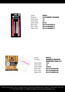

S8061 **24'S EMERY BOARDS 72**  $12$ 6X12 Item UPC: 5014749180614 Inner UPC: 5014749080617 Case UPC: 5014749080617



| Code:<br>Product: | <b>S9915</b><br><b>BAMBOO MAKEUP</b><br><b>REMOVER PADS 8'S</b> |
|-------------------|-----------------------------------------------------------------|
| Case Pack:        | 144                                                             |
| Inner Pack:       | 12                                                              |
| Outer Pack:       | <b>12X12</b>                                                    |
| Item UPC:         | 5014749199159                                                   |
| Inner UPC:        | 5014749099152                                                   |
| Case UPC:         | 5014749099152                                                   |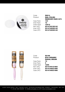

Code: **S9914** 

Case Pack: 144 Inner Pack: 12 Outer Pack: 12X12

Product: **NAIL POLISH**  REMOVER PADS 32'S Item UPC: 5014749199142 Inner UPC: 5014749099145 Case UPC: 5014749099145

Radio <sub>nic</sub> Radial

Code: **S2198** Product: **ECO CERAMIC**  RADIAL BRUSH Case Pack: 72 Inner Pack: 6 Outer Pack: **12X6** Item UPC: 5014749121983 Inner UPC: 5014749021986 Case UPC: 5014749021986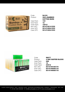

Code: S4153

Case Pack: 144 Inner Pack: 12 Outer Pack: 12X12

Product: 300's BAMBOO COTTON BUDS Item UPC: 5014749141530 Inner UPC: **5014749041533**<br>Case UPC: **5014749041533** Case UPC: 5014749041533



| Code:<br>Product:  | <b>S8077</b><br><b>4 WAY BUFFER BLOCK</b> |
|--------------------|-------------------------------------------|
| Case Pack:         | 288                                       |
| Inner Pack:        | 12                                        |
| <b>Outer Pack:</b> | <b>24X12</b>                              |
| Item UPC:          | 5014749180775                             |
| Inner UPC:         | 5014749080778                             |
| Case UPC:          | 5014749080778                             |
|                    |                                           |